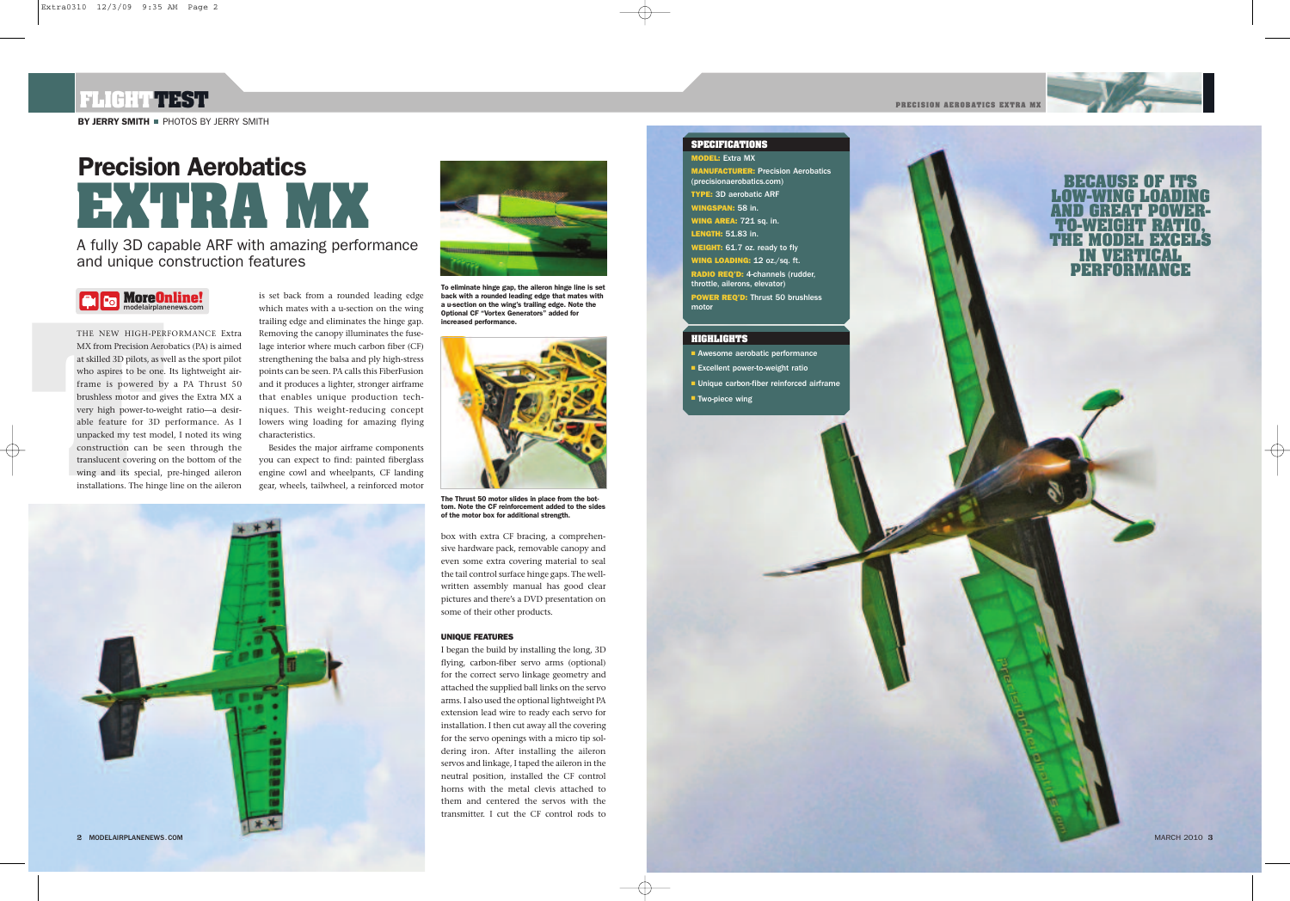MARCH 2010 **3**

THE NEW HIGH-PER<br>
MX from Precision Aero<br>
at skilled 3D pilots, as w<br>
who aspires to be one.<br>
frame is powered by<br>
brushless motor and gi<br>
very high power-to-we<br>
able feature for 3D<br>
unpacked my test mod<br>
construction can THE NEW HIGH-PERFORMANCE Extra MX from Precision Aerobatics (PA) is aimed at skilled 3D pilots, as well as the sport pilot who aspires to be one. Its lightweight airframe is powered by a PA Thrust 50 brushless motor and gives the Extra MX a very high power-to-weight ratio—a desirable feature for 3D performance. As I unpacked my test model, I noted its wing construction can be seen through the translucent covering on the bottom of the wing and its special, pre-hinged aileron installations. The hinge line on the aileron

# **Precision Aerobatics EXTRA MISSION CONSULTED SOLUTION**<br>
TELEVISION SECAUSE OF ITS<br>
WINGSPAN: 58 in.<br>
WINGSPAN: 58 in.<br>
WINGSPAN: 58 in.<br>
WINGSPAN: 58 in.<br>
WINGSPAN: 58 in.<br>
WINGSPAN: 58 in.<br>
TO-WEIGHT RATIO

# **FLIGHTTEST**

**BY JERRY SMITH PHOTOS BY JERRY SMITH** 

**PRECISION AEROBATICS EXTRA MX**

**LOW-WING LOADING** [HREEL]] **TO-WEIGHT RATIO, THE MODEL EXCELS IN VERTICAL PERFORMANCE**

A fully 3D capable ARF with amazing performance and unique construction features





is set back from a rounded leading edge which mates with a u-section on the wing trailing edge and eliminates the hinge gap. Removing the canopy illuminates the fuselage interior where much carbon fiber (CF) strengthening the balsa and ply high-stress points can be seen. PA calls this FiberFusion and it produces a lighter, stronger airframe that enables unique production techniques. This weight-reducing concept lowers wing loading for amazing flying characteristics.

**MODEL:** Extra MX **MANUFACTURER:** Precision Aerobatics (precisionaerobatics.com) **TYPE:** 3D aerobatic ARF **WINGSPAN:** 58 in. **WING AREA:** 721 sq. in. **LENGTH:** 51.83 in. **WEIGHT:** 61.7 oz. ready to fly **WING LOADING:** 12 oz./sq. ft. **RADIO REQ'D:** 4-channels (rudder, throttle, ailerons, elevator) **POWER REQ'D:** Thrust 50 brushless motor

- **■** Awesome aerobatic performance
- **■** Excellent power-to-weight ratio
- **■** Unique carbon-fiber reinforced airframe
- Two-piece wing

Besides the major airframe components you can expect to find: painted fiberglass engine cowl and wheelpants, CF landing gear, wheels, tailwheel, a reinforced motor





#### **SPECIFICATIONS**

## **HIGHLIGHTS**

**To eliminate hinge gap, the aileron hinge line is set back with a rounded leading edge that mates with a u-section on the wing's trailing edge. Note the Optional CF "Vortex Generators" added for increased performance.**

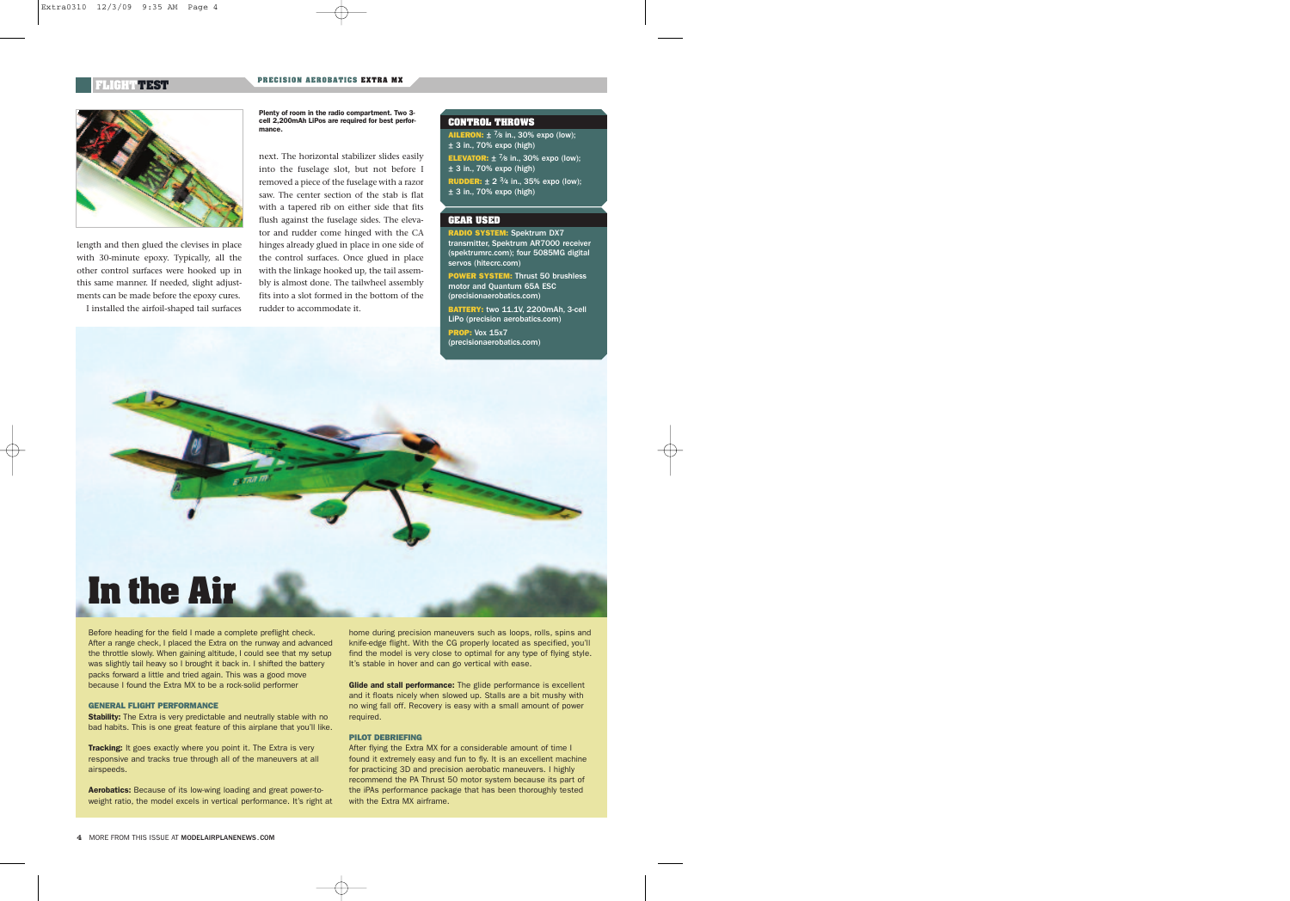Before heading for the field I made a complete preflight check. After a range check, I placed the Extra on the runway and advanced the throttle slowly. When gaining altitude, I could see that my setup was slightly tail heavy so I brought it back in. I shifted the battery packs forward a little and tried again. This was a good move because I found the Extra MX to be a rock-solid performer

**Stability:** The Extra is very predictable and neutrally stable with no bad habits. This is one great feature of this airplane that you'll like.

**Tracking:** It goes exactly where you point it. The Extra is very responsive and tracks true through all of the maneuvers at all airspeeds.

home during precision maneuvers such as loops, rolls, spins and knife-edge flight. With the CG properly located as specified, you'll find the model is very close to optimal for any type of flying style. It's stable in hover and can go vertical with ease.

#### **GENERAL FLIGHT PERFORMANCE**

After flying the Extra MX for a considerable amount of time I found it extremely easy and fun to fly. It is an excellent machine for practicing 3D and precision aerobatic maneuvers. I highly recommend the PA Thrust 50 motor system because its part of the iPAs performance package that has been thoroughly tested with the Extra MX airframe.

**Aerobatics:** Because of its low-wing loading and great power-toweight ratio, the model excels in vertical performance. It's right at

**AILERON:**  $\pm$  <sup>7</sup>/8 in., 30% expo (low); ± 3 in., 70% expo (high) **ELEVATOR:**  $\pm$  <sup>7</sup>/8 in., 30% expo (low);  $\pm$  3 in., 70% expo (high) **RUDDER:** ± 2 3⁄4 in., 35% expo (low); ± 3 in., 70% expo (high)

**Glide and stall performance:** The glide performance is excellent and it floats nicely when slowed up. Stalls are a bit mushy with no wing fall off. Recovery is easy with a small amount of power required.

#### **PILOT DEBRIEFING**



length and then glued the clevises in place with 30-minute epoxy. Typically, all the other control surfaces were hooked up in this same manner. If needed, slight adjustments can be made before the epoxy cures. I installed the airfoil-shaped tail surfaces

#### **CONTROL THROWS**

#### **GEAR USED**

**RADIO SYSTEM:** Spektrum DX7 transmitter, Spektrum AR7000 receiver (spektrumrc.com); four 5085MG digital servos (hitecrc.com) **POWER SYSTEM:** Thrust 50 brushless motor and Quantum 65A ESC (precisionaerobatics.com) **BATTERY:** two 11.1V, 2200mAh, 3-cell

LiPo (precision aerobatics.com) **PROP:** Vox 15x7 (precisionaerobatics.com)

next. The horizontal stabilizer slides easily into the fuselage slot, but not before I removed a piece of the fuselage with a razor saw. The center section of the stab is flat with a tapered rib on either side that fits flush against the fuselage sides. The elevator and rudder come hinged with the CA hinges already glued in place in one side of the control surfaces. Once glued in place with the linkage hooked up, the tail assembly is almost done. The tailwheel assembly fits into a slot formed in the bottom of the rudder to accommodate it.

**Plenty of room in the radio compartment. Two 3 cell 2,200mAh LiPos are required for best performance.**

# **FLIGHT TEST PRECISION AEROBATICS EXTRA MX**